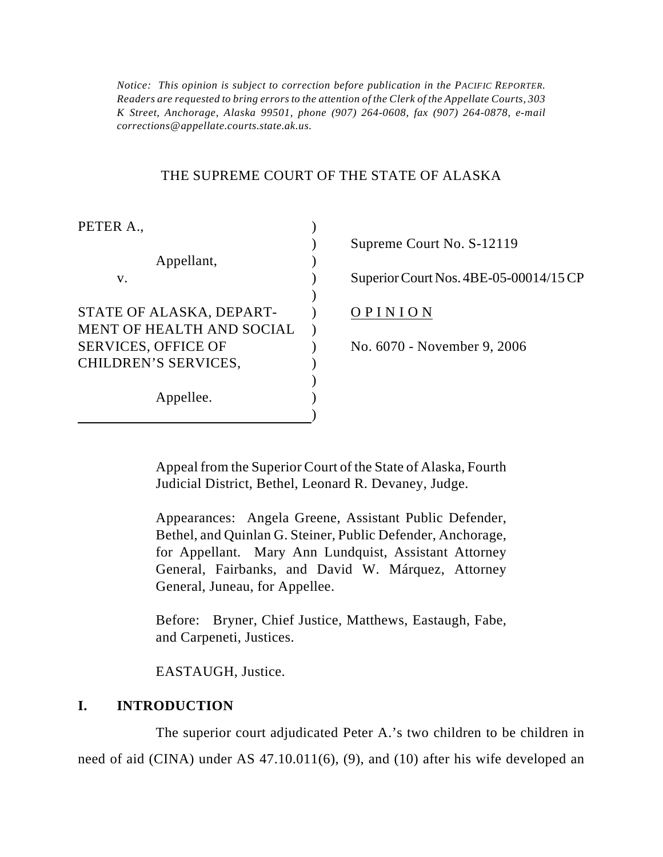*Notice: This opinion is subject to correction before publication in the PACIFIC REPORTER. Readers are requested to bring errors to the attention of the Clerk of the Appellate Courts, 303 K Street, Anchorage, Alaska 99501, phone (907) 264-0608, fax (907) 264-0878, e-mail corrections@appellate.courts.state.ak.us.*

### THE SUPREME COURT OF THE STATE OF ALASKA

)

PETER A.,  $\qquad \qquad$  )

| Superior Court Nos. 4BE-05-000 |
|--------------------------------|
|                                |
|                                |
|                                |
| No. 6070 - November 9, 2006    |
|                                |
|                                |
|                                |
|                                |

) Supreme Court No. S-12119

) Superior Court Nos. 4BE-05-00014/15 CP

Appeal from the Superior Court of the State of Alaska, Fourth Judicial District, Bethel, Leonard R. Devaney, Judge.

Appearances: Angela Greene, Assistant Public Defender, Bethel, and Quinlan G. Steiner, Public Defender, Anchorage, for Appellant. Mary Ann Lundquist, Assistant Attorney General, Fairbanks, and David W. Márquez, Attorney General, Juneau, for Appellee.

Before: Bryner, Chief Justice, Matthews, Eastaugh, Fabe, and Carpeneti, Justices.

EASTAUGH, Justice.

### **I. INTRODUCTION**

The superior court adjudicated Peter A.'s two children to be children in need of aid (CINA) under AS 47.10.011(6), (9), and (10) after his wife developed an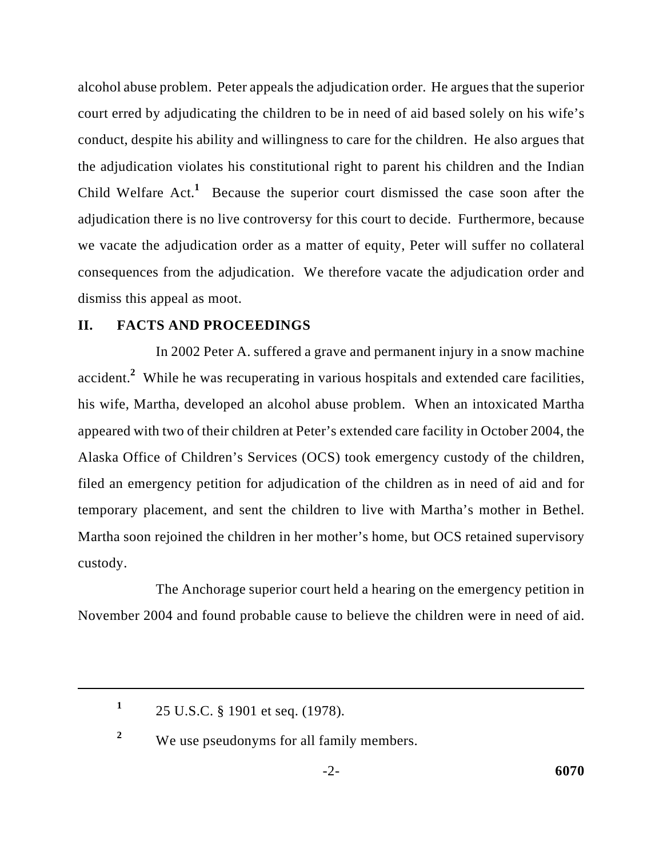alcohol abuse problem. Peter appeals the adjudication order. He argues that the superior court erred by adjudicating the children to be in need of aid based solely on his wife's conduct, despite his ability and willingness to care for the children. He also argues that the adjudication violates his constitutional right to parent his children and the Indian Child Welfare  $Act<sup>1</sup>$  Because the superior court dismissed the case soon after the adjudication there is no live controversy for this court to decide. Furthermore, because we vacate the adjudication order as a matter of equity, Peter will suffer no collateral consequences from the adjudication. We therefore vacate the adjudication order and dismiss this appeal as moot.

### **II. FACTS AND PROCEEDINGS**

In 2002 Peter A. suffered a grave and permanent injury in a snow machine accident.<sup>2</sup> While he was recuperating in various hospitals and extended care facilities, his wife, Martha, developed an alcohol abuse problem. When an intoxicated Martha appeared with two of their children at Peter's extended care facility in October 2004, the Alaska Office of Children's Services (OCS) took emergency custody of the children, filed an emergency petition for adjudication of the children as in need of aid and for temporary placement, and sent the children to live with Martha's mother in Bethel. Martha soon rejoined the children in her mother's home, but OCS retained supervisory custody.

The Anchorage superior court held a hearing on the emergency petition in November 2004 and found probable cause to believe the children were in need of aid.

<sup>&</sup>lt;sup>1</sup> 25 U.S.C. § 1901 et seq. (1978).

We use pseudonyms for all family members. **<sup>2</sup>**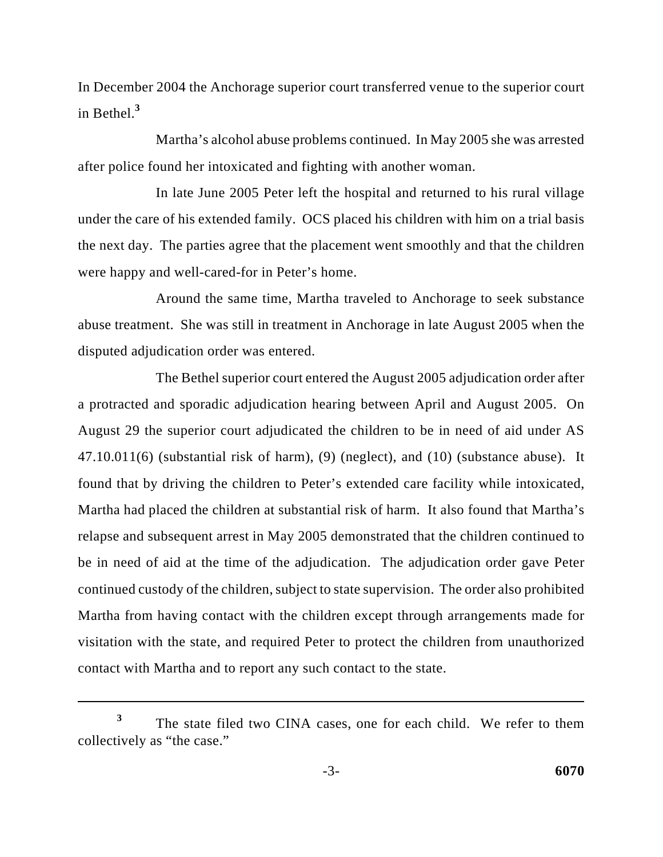In December 2004 the Anchorage superior court transferred venue to the superior court in Bethel.**<sup>3</sup>**

Martha's alcohol abuse problems continued. In May 2005 she was arrested after police found her intoxicated and fighting with another woman.

In late June 2005 Peter left the hospital and returned to his rural village under the care of his extended family. OCS placed his children with him on a trial basis the next day. The parties agree that the placement went smoothly and that the children were happy and well-cared-for in Peter's home.

Around the same time, Martha traveled to Anchorage to seek substance abuse treatment. She was still in treatment in Anchorage in late August 2005 when the disputed adjudication order was entered.

The Bethel superior court entered the August 2005 adjudication order after a protracted and sporadic adjudication hearing between April and August 2005. On August 29 the superior court adjudicated the children to be in need of aid under AS 47.10.011(6) (substantial risk of harm), (9) (neglect), and (10) (substance abuse). It found that by driving the children to Peter's extended care facility while intoxicated, Martha had placed the children at substantial risk of harm. It also found that Martha's relapse and subsequent arrest in May 2005 demonstrated that the children continued to be in need of aid at the time of the adjudication. The adjudication order gave Peter continued custody of the children, subject to state supervision. The order also prohibited Martha from having contact with the children except through arrangements made for visitation with the state, and required Peter to protect the children from unauthorized contact with Martha and to report any such contact to the state.

<sup>&</sup>lt;sup>3</sup> The state filed two CINA cases, one for each child. We refer to them collectively as "the case."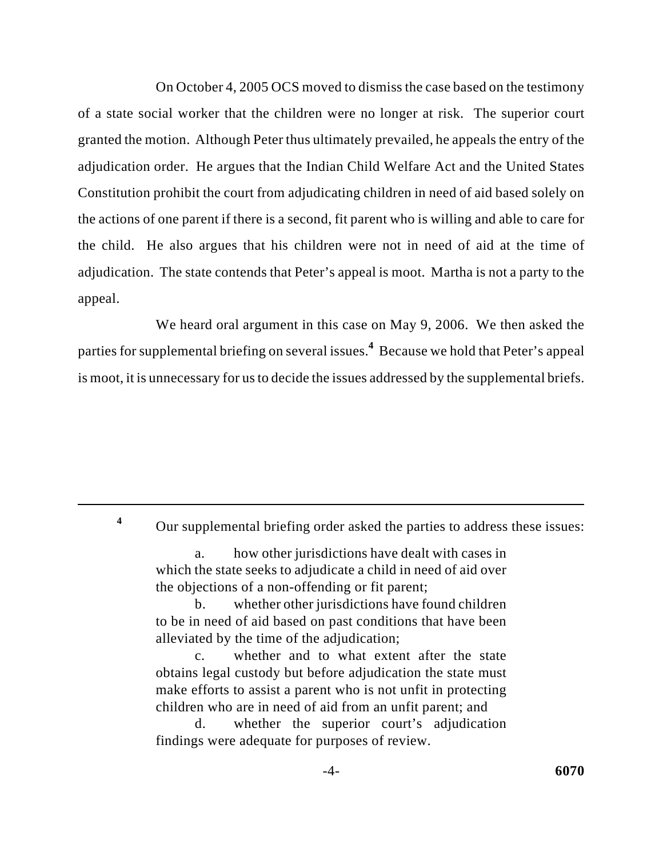On October 4, 2005 OCS moved to dismiss the case based on the testimony of a state social worker that the children were no longer at risk. The superior court granted the motion. Although Peter thus ultimately prevailed, he appeals the entry of the adjudication order. He argues that the Indian Child Welfare Act and the United States Constitution prohibit the court from adjudicating children in need of aid based solely on the actions of one parent if there is a second, fit parent who is willing and able to care for the child. He also argues that his children were not in need of aid at the time of adjudication. The state contends that Peter's appeal is moot. Martha is not a party to the appeal.

We heard oral argument in this case on May 9, 2006. We then asked the parties for supplemental briefing on several issues.<sup>4</sup> Because we hold that Peter's appeal is moot, it is unnecessary for us to decide the issues addressed by the supplemental briefs.

Our supplemental briefing order asked the parties to address these issues: **<sup>4</sup>**

a. how other jurisdictions have dealt with cases in which the state seeks to adjudicate a child in need of aid over the objections of a non-offending or fit parent;

b. whether other jurisdictions have found children to be in need of aid based on past conditions that have been alleviated by the time of the adjudication;

c. whether and to what extent after the state obtains legal custody but before adjudication the state must make efforts to assist a parent who is not unfit in protecting children who are in need of aid from an unfit parent; and

d. whether the superior court's adjudication findings were adequate for purposes of review.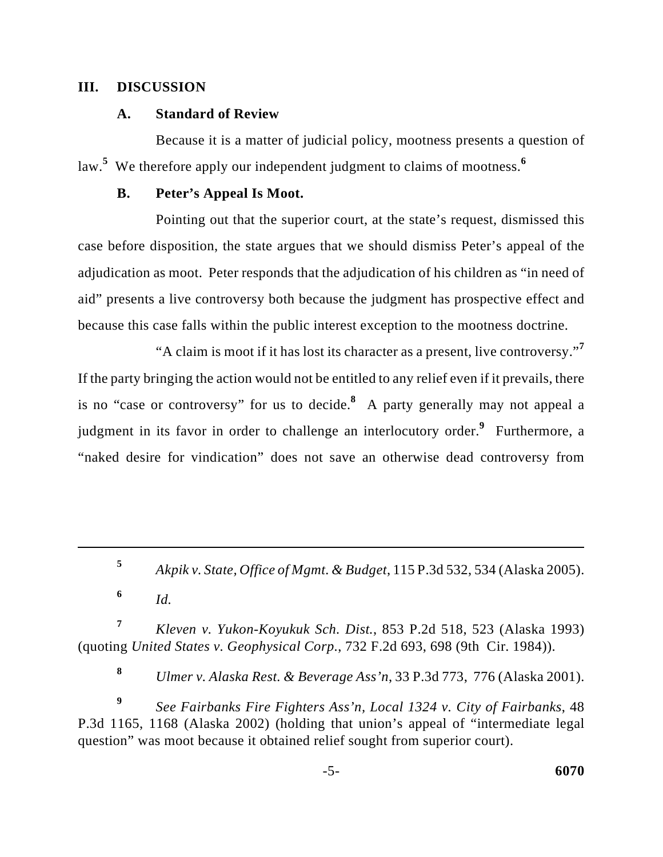## **III. DISCUSSION**

# **A. Standard of Review**

Because it is a matter of judicial policy, mootness presents a question of law.<sup>5</sup> We therefore apply our independent judgment to claims of mootness.<sup>6</sup>

## **B. Peter's Appeal Is Moot.**

Pointing out that the superior court, at the state's request, dismissed this case before disposition, the state argues that we should dismiss Peter's appeal of the adjudication as moot. Peter responds that the adjudication of his children as "in need of aid" presents a live controversy both because the judgment has prospective effect and because this case falls within the public interest exception to the mootness doctrine.

"A claim is moot if it has lost its character as a present, live controversy."**<sup>7</sup>** If the party bringing the action would not be entitled to any relief even if it prevails, there is no "case or controversy" for us to decide.<sup>8</sup> A party generally may not appeal a judgment in its favor in order to challenge an interlocutory order.<sup>9</sup> Furthermore, a "naked desire for vindication" does not save an otherwise dead controversy from

*Kleven v. Yukon-Koyukuk Sch. Dist.*, 853 P.2d 518, 523 (Alaska 1993) **<sup>7</sup>** (quoting *United States v. Geophysical Corp.*, 732 F.2d 693, 698 (9th Cir. 1984)).

*Ulmer v. Alaska Rest. & Beverage Ass'n*, 33 P.3d 773, 776 (Alaska 2001). **<sup>8</sup>**

*See Fairbanks Fire Fighters Ass'n, Local 1324 v. City of Fairbanks*, 48 **<sup>9</sup>** P.3d 1165, 1168 (Alaska 2002) (holding that union's appeal of "intermediate legal question" was moot because it obtained relief sought from superior court).

*Akpik v. State, Office of Mgmt. & Budget*, 115 P.3d 532, 534 (Alaska 2005). **<sup>5</sup>**

 $\frac{6}{1}$  *Id.*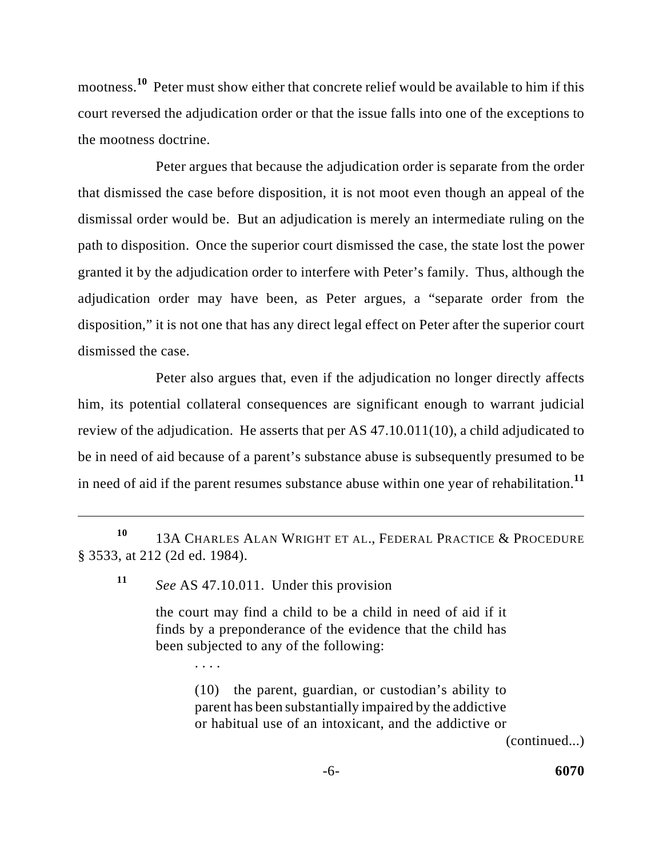mootness.<sup>10</sup> Peter must show either that concrete relief would be available to him if this court reversed the adjudication order or that the issue falls into one of the exceptions to the mootness doctrine.

Peter argues that because the adjudication order is separate from the order that dismissed the case before disposition, it is not moot even though an appeal of the dismissal order would be. But an adjudication is merely an intermediate ruling on the path to disposition. Once the superior court dismissed the case, the state lost the power granted it by the adjudication order to interfere with Peter's family. Thus, although the adjudication order may have been, as Peter argues, a "separate order from the disposition," it is not one that has any direct legal effect on Peter after the superior court dismissed the case.

Peter also argues that, even if the adjudication no longer directly affects him, its potential collateral consequences are significant enough to warrant judicial review of the adjudication. He asserts that per AS 47.10.011(10), a child adjudicated to be in need of aid because of a parent's substance abuse is subsequently presumed to be in need of aid if the parent resumes substance abuse within one year of rehabilitation. **11**

*See* AS 47.10.011. Under this provision **11**

. . . .

the court may find a child to be a child in need of aid if it finds by a preponderance of the evidence that the child has been subjected to any of the following:

> (10) the parent, guardian, or custodian's ability to parent has been substantially impaired by the addictive or habitual use of an intoxicant, and the addictive or

> > (continued...)

<sup>10 13</sup>A CHARLES ALAN WRIGHT ET AL., FEDERAL PRACTICE & PROCEDURE § 3533, at 212 (2d ed. 1984).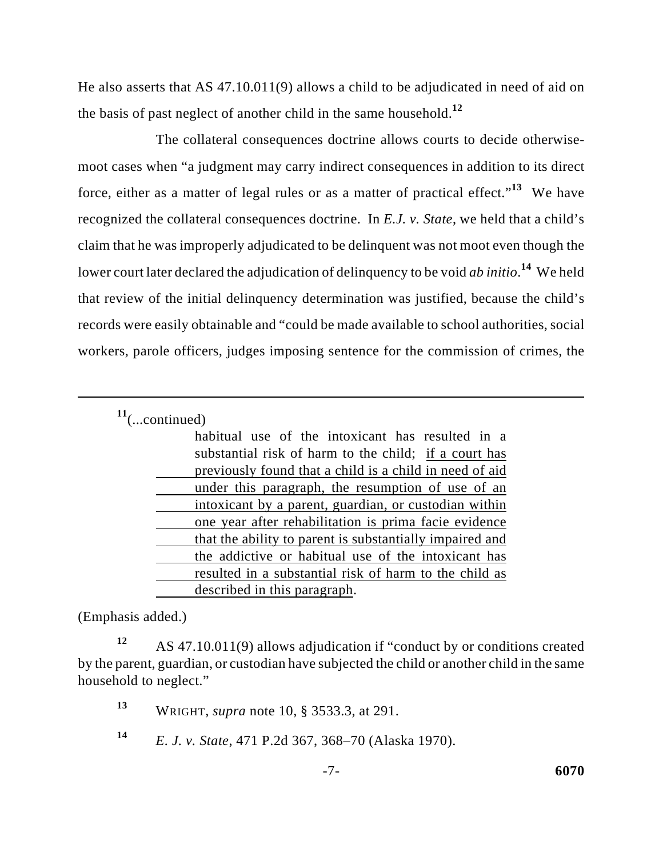He also asserts that AS 47.10.011(9) allows a child to be adjudicated in need of aid on the basis of past neglect of another child in the same household.**<sup>12</sup>**

The collateral consequences doctrine allows courts to decide otherwisemoot cases when "a judgment may carry indirect consequences in addition to its direct force, either as a matter of legal rules or as a matter of practical effect."<sup>13</sup> We have recognized the collateral consequences doctrine. In *E.J. v. State*, we held that a child's claim that he was improperly adjudicated to be delinquent was not moot even though the lower court later declared the adjudication of delinquency to be void *ab initio*.<sup>14</sup> We held that review of the initial delinquency determination was justified, because the child's records were easily obtainable and "could be made available to school authorities, social workers, parole officers, judges imposing sentence for the commission of crimes, the

 $11$ (...continued)

| habitual use of the intoxicant has resulted in a         |
|----------------------------------------------------------|
| substantial risk of harm to the child; if a court has    |
| previously found that a child is a child in need of aid  |
| under this paragraph, the resumption of use of an        |
| intoxicant by a parent, guardian, or custodian within    |
| one year after rehabilitation is prima facie evidence    |
| that the ability to parent is substantially impaired and |
| the addictive or habitual use of the intoxicant has      |
| resulted in a substantial risk of harm to the child as   |
| described in this paragraph.                             |

(Emphasis added.)

AS 47.10.011(9) allows adjudication if "conduct by or conditions created **<sup>12</sup>** by the parent, guardian, or custodian have subjected the child or another child in the same household to neglect."

WRIGHT, *supra* note 10, § 3533.3, at 291. **<sup>13</sup>**

*E. J. v. State*, 471 P.2d 367, 368–70 (Alaska 1970). **<sup>14</sup>**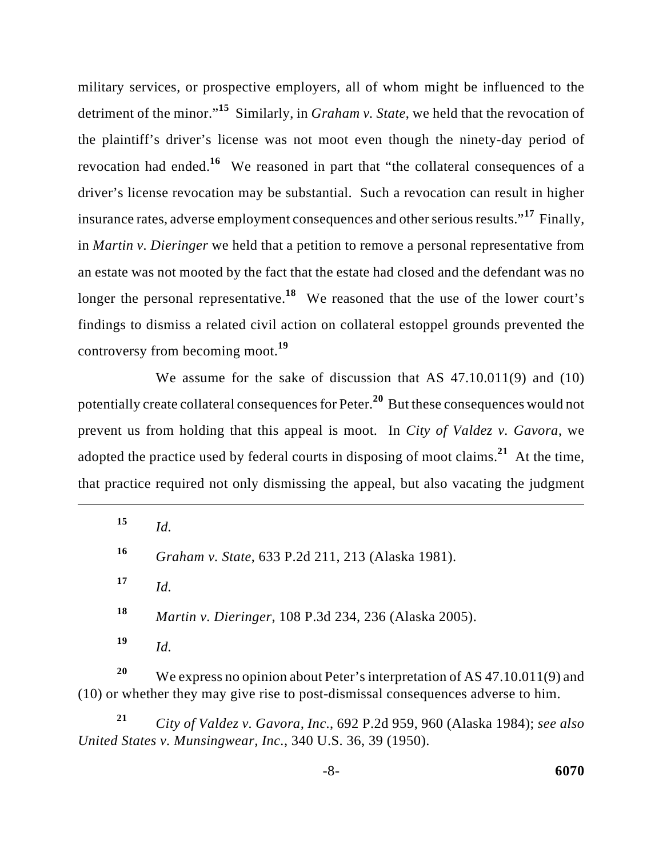military services, or prospective employers, all of whom might be influenced to the detriment of the minor."<sup>15</sup> Similarly, in *Graham v. State*, we held that the revocation of the plaintiff's driver's license was not moot even though the ninety-day period of revocation had ended.<sup>16</sup> We reasoned in part that "the collateral consequences of a driver's license revocation may be substantial. Such a revocation can result in higher insurance rates, adverse employment consequences and other serious results."<sup>17</sup> Finally, in *Martin v. Dieringer* we held that a petition to remove a personal representative from an estate was not mooted by the fact that the estate had closed and the defendant was no longer the personal representative.<sup>18</sup> We reasoned that the use of the lower court's findings to dismiss a related civil action on collateral estoppel grounds prevented the controversy from becoming moot.**<sup>19</sup>**

We assume for the sake of discussion that AS 47.10.011(9) and (10) potentially create collateral consequences for Peter.<sup>20</sup> But these consequences would not prevent us from holding that this appeal is moot. In *City of Valdez v. Gavora*, we adopted the practice used by federal courts in disposing of moot claims.<sup>21</sup> At the time, that practice required not only dismissing the appeal, but also vacating the judgment

 $15$  *Id. Graham v. State*, 633 P.2d 211, 213 (Alaska 1981). **<sup>16</sup>**  $17$  *Id. Martin v. Dieringer*, 108 P.3d 234, 236 (Alaska 2005). **<sup>18</sup>**  $19$  *Id.* 

We express no opinion about Peter's interpretation of AS 47.10.011(9) and **<sup>20</sup>** (10) or whether they may give rise to post-dismissal consequences adverse to him.

*City of Valdez v. Gavora, Inc.*, 692 P.2d 959, 960 (Alaska 1984); *see also* **<sup>21</sup>** *United States v. Munsingwear, Inc.*, 340 U.S. 36, 39 (1950).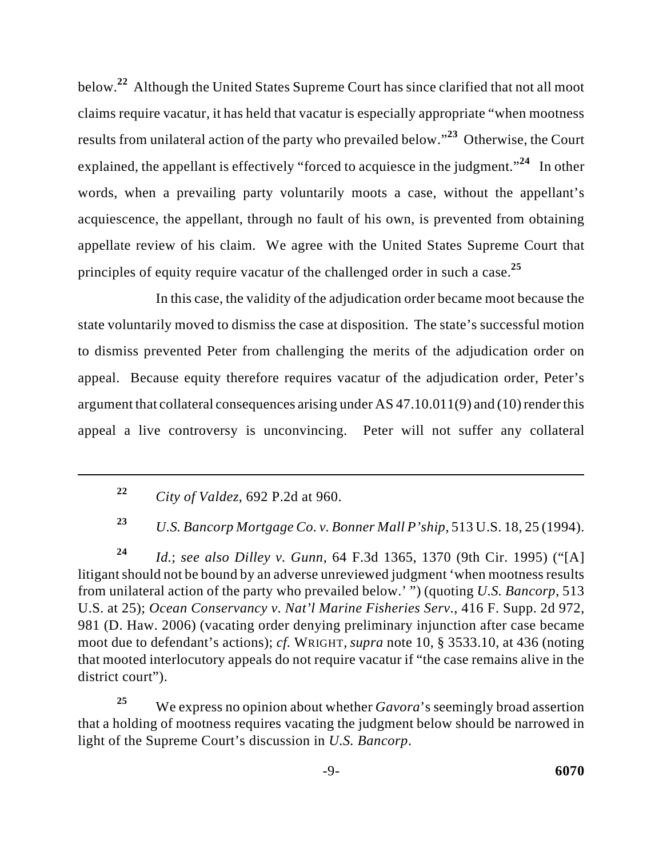below.<sup>22</sup> Although the United States Supreme Court has since clarified that not all moot claims require vacatur, it has held that vacatur is especially appropriate "when mootness results from unilateral action of the party who prevailed below."<sup>23</sup> Otherwise, the Court explained, the appellant is effectively "forced to acquiesce in the judgment."<sup>24</sup> In other words, when a prevailing party voluntarily moots a case, without the appellant's acquiescence, the appellant, through no fault of his own, is prevented from obtaining appellate review of his claim. We agree with the United States Supreme Court that principles of equity require vacatur of the challenged order in such a case. **25**

In this case, the validity of the adjudication order became moot because the state voluntarily moved to dismiss the case at disposition. The state's successful motion to dismiss prevented Peter from challenging the merits of the adjudication order on appeal. Because equity therefore requires vacatur of the adjudication order, Peter's argument that collateral consequences arising under AS 47.10.011(9) and (10) render this appeal a live controversy is unconvincing. Peter will not suffer any collateral

*U.S. Bancorp Mortgage Co. v. Bonner Mall P'ship*, 513 U.S. 18, 25 (1994). **<sup>23</sup>**

*Id.*; *see also Dilley v. Gunn*, 64 F.3d 1365, 1370 (9th Cir. 1995) ("[A] **<sup>24</sup>** litigant should not be bound by an adverse unreviewed judgment 'when mootness results from unilateral action of the party who prevailed below.' ") (quoting *U.S. Bancorp*, 513 U.S. at 25); *Ocean Conservancy v. Nat'l Marine Fisheries Serv.*, 416 F. Supp. 2d 972, 981 (D. Haw. 2006) (vacating order denying preliminary injunction after case became moot due to defendant's actions); *cf.* WRIGHT*, supra* note 10, § 3533.10, at 436 (noting that mooted interlocutory appeals do not require vacatur if "the case remains alive in the district court").

We express no opinion about whether *Gavora*'s seemingly broad assertion **25** that a holding of mootness requires vacating the judgment below should be narrowed in light of the Supreme Court's discussion in *U.S. Bancorp*.

*City of Valdez*, 692 P.2d at 960. **<sup>22</sup>**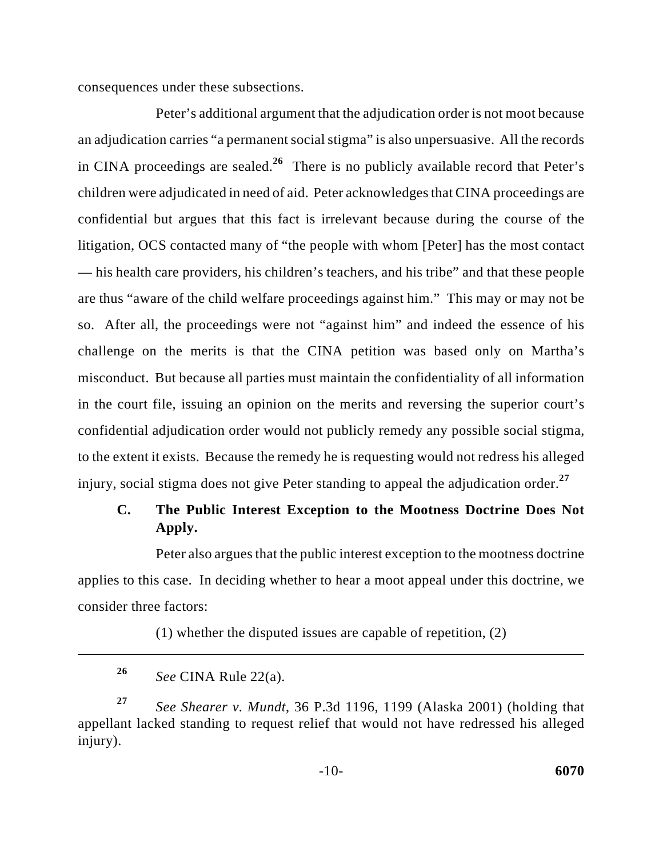consequences under these subsections.

Peter's additional argument that the adjudication order is not moot because an adjudication carries "a permanent social stigma" is also unpersuasive. All the records in CINA proceedings are sealed.<sup>26</sup> There is no publicly available record that Peter's children were adjudicated in need of aid. Peter acknowledges that CINA proceedings are confidential but argues that this fact is irrelevant because during the course of the litigation, OCS contacted many of "the people with whom [Peter] has the most contact — his health care providers, his children's teachers, and his tribe" and that these people are thus "aware of the child welfare proceedings against him." This may or may not be so. After all, the proceedings were not "against him" and indeed the essence of his challenge on the merits is that the CINA petition was based only on Martha's misconduct. But because all parties must maintain the confidentiality of all information in the court file, issuing an opinion on the merits and reversing the superior court's confidential adjudication order would not publicly remedy any possible social stigma, to the extent it exists. Because the remedy he is requesting would not redress his alleged injury, social stigma does not give Peter standing to appeal the adjudication order.**<sup>27</sup>**

# **C. The Public Interest Exception to the Mootness Doctrine Does Not Apply.**

Peter also argues that the public interest exception to the mootness doctrine applies to this case. In deciding whether to hear a moot appeal under this doctrine, we consider three factors:

(1) whether the disputed issues are capable of repetition, (2)

*See* CINA Rule 22(a). **26**

*See Shearer v. Mundt*, 36 P.3d 1196, 1199 (Alaska 2001) (holding that **<sup>27</sup>** appellant lacked standing to request relief that would not have redressed his alleged injury).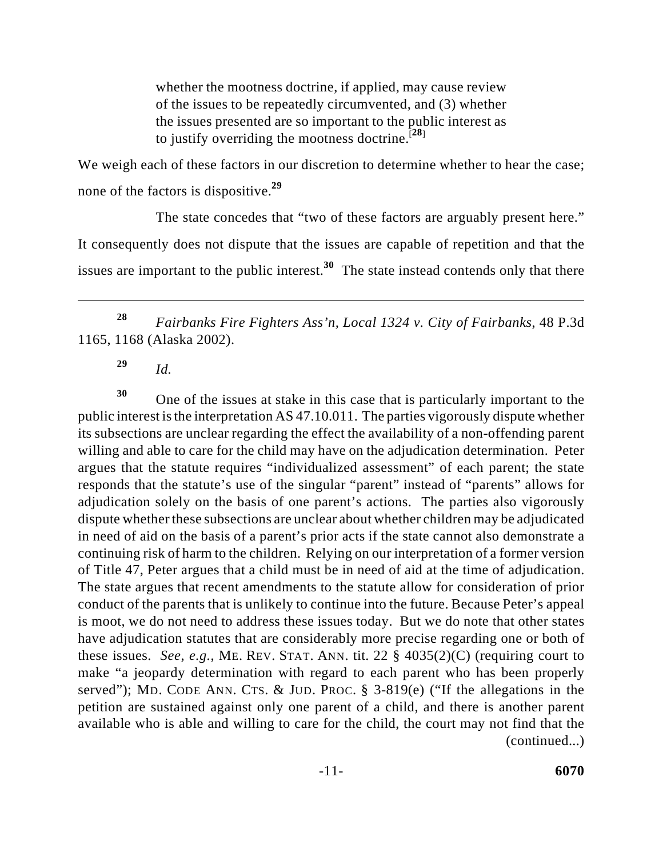whether the mootness doctrine, if applied, may cause review of the issues to be repeatedly circumvented, and (3) whether the issues presented are so important to the public interest as to justify overriding the mootness doctrine.<sup>[28]</sup>

We weigh each of these factors in our discretion to determine whether to hear the case; none of the factors is dispositive. **29**

The state concedes that "two of these factors are arguably present here." It consequently does not dispute that the issues are capable of repetition and that the issues are important to the public interest.<sup>30</sup> The state instead contends only that there

*Fairbanks Fire Fighters Ass'n, Local 1324 v. City of Fairbanks*, 48 P.3d **<sup>28</sup>** 1165, 1168 (Alaska 2002).

*Id.* **<sup>29</sup>**

One of the issues at stake in this case that is particularly important to the **<sup>30</sup>** public interest is the interpretation AS 47.10.011. The parties vigorously dispute whether its subsections are unclear regarding the effect the availability of a non-offending parent willing and able to care for the child may have on the adjudication determination. Peter argues that the statute requires "individualized assessment" of each parent; the state responds that the statute's use of the singular "parent" instead of "parents" allows for adjudication solely on the basis of one parent's actions. The parties also vigorously dispute whether these subsections are unclear about whether children may be adjudicated in need of aid on the basis of a parent's prior acts if the state cannot also demonstrate a continuing risk of harm to the children. Relying on our interpretation of a former version of Title 47, Peter argues that a child must be in need of aid at the time of adjudication. The state argues that recent amendments to the statute allow for consideration of prior conduct of the parents that is unlikely to continue into the future. Because Peter's appeal is moot, we do not need to address these issues today. But we do note that other states have adjudication statutes that are considerably more precise regarding one or both of these issues. *See, e.g.*, ME. REV. STAT. ANN. tit. 22 § 4035(2)(C) (requiring court to make "a jeopardy determination with regard to each parent who has been properly served"); MD. CODE ANN. CTS. & JUD. PROC. § 3-819(e) ("If the allegations in the petition are sustained against only one parent of a child, and there is another parent available who is able and willing to care for the child, the court may not find that the (continued...)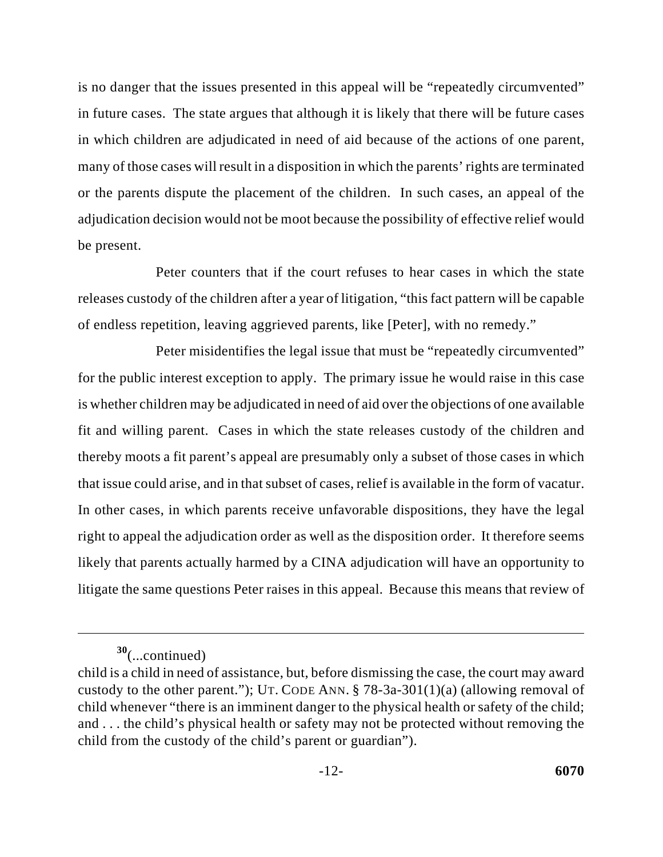is no danger that the issues presented in this appeal will be "repeatedly circumvented" in future cases. The state argues that although it is likely that there will be future cases in which children are adjudicated in need of aid because of the actions of one parent, many of those cases will result in a disposition in which the parents' rights are terminated or the parents dispute the placement of the children. In such cases, an appeal of the adjudication decision would not be moot because the possibility of effective relief would be present.

Peter counters that if the court refuses to hear cases in which the state releases custody of the children after a year of litigation, "this fact pattern will be capable of endless repetition, leaving aggrieved parents, like [Peter], with no remedy."

Peter misidentifies the legal issue that must be "repeatedly circumvented" for the public interest exception to apply. The primary issue he would raise in this case is whether children may be adjudicated in need of aid over the objections of one available fit and willing parent. Cases in which the state releases custody of the children and thereby moots a fit parent's appeal are presumably only a subset of those cases in which that issue could arise, and in that subset of cases, relief is available in the form of vacatur. In other cases, in which parents receive unfavorable dispositions, they have the legal right to appeal the adjudication order as well as the disposition order. It therefore seems likely that parents actually harmed by a CINA adjudication will have an opportunity to litigate the same questions Peter raises in this appeal. Because this means that review of

<sup>(...</sup>continued) **<sup>30</sup>**

child is a child in need of assistance, but, before dismissing the case, the court may award custody to the other parent."); UT. CODE ANN.  $\S$  78-3a-301(1)(a) (allowing removal of child whenever "there is an imminent danger to the physical health or safety of the child; and . . . the child's physical health or safety may not be protected without removing the child from the custody of the child's parent or guardian").